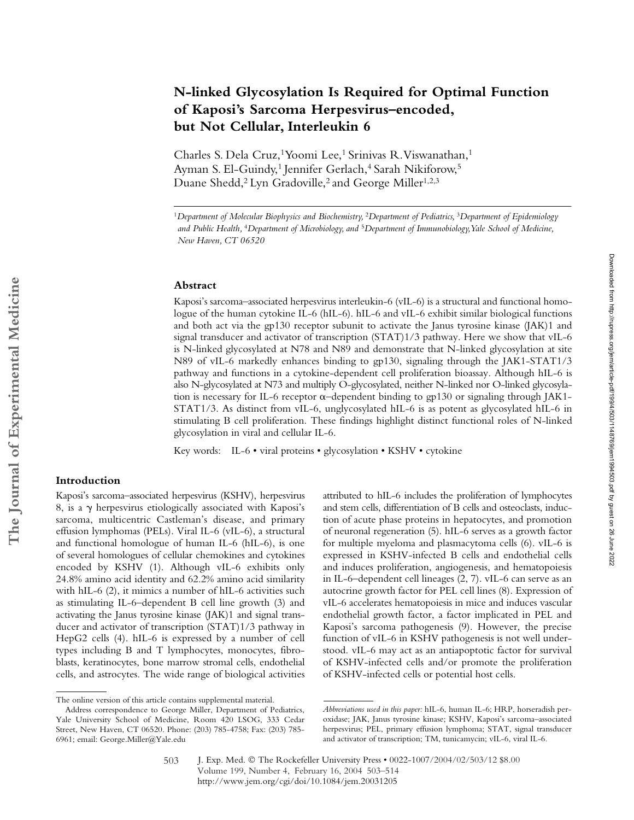# **N-linked Glycosylation Is Required for Optimal Function of Kaposi's Sarcoma Herpesvirus–encoded, but Not Cellular, Interleukin 6**

Charles S. Dela Cruz,<sup>1</sup> Yoomi Lee,<sup>1</sup> Srinivas R. Viswanathan,<sup>1</sup> Ayman S. El-Guindy,<sup>1</sup> Jennifer Gerlach,<sup>4</sup> Sarah Nikiforow,<sup>5</sup> Duane Shedd,<sup>2</sup> Lyn Gradoville,<sup>2</sup> and George Miller<sup>1,2,3</sup>

#### **Abstract**

Kaposi's sarcoma–associated herpesvirus interleukin-6 (vIL-6) is a structural and functional homologue of the human cytokine IL-6 (hIL-6). hIL-6 and vIL-6 exhibit similar biological functions and both act via the gp130 receptor subunit to activate the Janus tyrosine kinase (JAK)1 and signal transducer and activator of transcription (STAT)1/3 pathway. Here we show that vIL-6 is N-linked glycosylated at N78 and N89 and demonstrate that N-linked glycosylation at site N89 of vIL-6 markedly enhances binding to gp130, signaling through the JAK1-STAT1/3 pathway and functions in a cytokine-dependent cell proliferation bioassay. Although hIL-6 is also N-glycosylated at N73 and multiply O-glycosylated, neither N-linked nor O-linked glycosylation is necessary for IL-6 receptor  $\alpha$ -dependent binding to gp130 or signaling through JAK1-STAT1/3. As distinct from vIL-6, unglycosylated hIL-6 is as potent as glycosylated hIL-6 in stimulating B cell proliferation. These findings highlight distinct functional roles of N-linked glycosylation in viral and cellular IL-6.

Key words: IL-6 • viral proteins • glycosylation • KSHV • cytokine

## **Introduction**

Kaposi's sarcoma–associated herpesvirus (KSHV), herpesvirus 8, is a  $\gamma$  herpesvirus etiologically associated with Kaposi's sarcoma, multicentric Castleman's disease, and primary effusion lymphomas (PELs). Viral IL-6 (vIL-6), a structural and functional homologue of human IL-6 (hIL-6), is one of several homologues of cellular chemokines and cytokines encoded by KSHV (1). Although vIL-6 exhibits only 24.8% amino acid identity and 62.2% amino acid similarity with hIL-6 (2), it mimics a number of hIL-6 activities such as stimulating IL-6–dependent B cell line growth (3) and activating the Janus tyrosine kinase (JAK)1 and signal transducer and activator of transcription (STAT)1/3 pathway in HepG2 cells (4). hIL-6 is expressed by a number of cell types including B and T lymphocytes, monocytes, fibroblasts, keratinocytes, bone marrow stromal cells, endothelial cells, and astrocytes. The wide range of biological activities attributed to hIL-6 includes the proliferation of lymphocytes and stem cells, differentiation of B cells and osteoclasts, induction of acute phase proteins in hepatocytes, and promotion of neuronal regeneration (5). hIL-6 serves as a growth factor for multiple myeloma and plasmacytoma cells (6). vIL-6 is expressed in KSHV-infected B cells and endothelial cells and induces proliferation, angiogenesis, and hematopoiesis in IL-6–dependent cell lineages (2, 7). vIL-6 can serve as an autocrine growth factor for PEL cell lines (8). Expression of vIL-6 accelerates hematopoiesis in mice and induces vascular endothelial growth factor, a factor implicated in PEL and Kaposi's sarcoma pathogenesis (9). However, the precise function of vIL-6 in KSHV pathogenesis is not well understood. vIL-6 may act as an antiapoptotic factor for survival of KSHV-infected cells and/or promote the proliferation of KSHV-infected cells or potential host cells.

<sup>1</sup>*Department of Molecular Biophysics and Biochemistry,* <sup>2</sup>*Department of Pediatrics,* <sup>3</sup>*Department of Epidemiology and Public Health,* <sup>4</sup>*Department of Microbiology, and* <sup>5</sup>*Department of Immunobiology, Yale School of Medicine, New Haven, CT 06520*

The online version of this article contains supplemental material.

Address correspondence to George Miller, Department of Pediatrics, Yale University School of Medicine, Room 420 LSOG, 333 Cedar Street, New Haven, CT 06520. Phone: (203) 785-4758; Fax: (203) 785- 6961; email: George.Miller@Yale.edu

*Abbreviations used in this paper:* hIL-6, human IL-6; HRP, horseradish peroxidase; JAK, Janus tyrosine kinase; KSHV, Kaposi's sarcoma–associated herpesvirus; PEL, primary effusion lymphoma; STAT, signal transducer and activator of transcription; TM, tunicamycin; vIL-6, viral IL-6.

J. Exp. Med. © The Rockefeller University Press • 0022-1007/2004/02/503/12 \$8.00 Volume 199, Number 4, February 16, 2004 503–514 http://www.jem.org/cgi/doi/10.1084/jem.20031205 503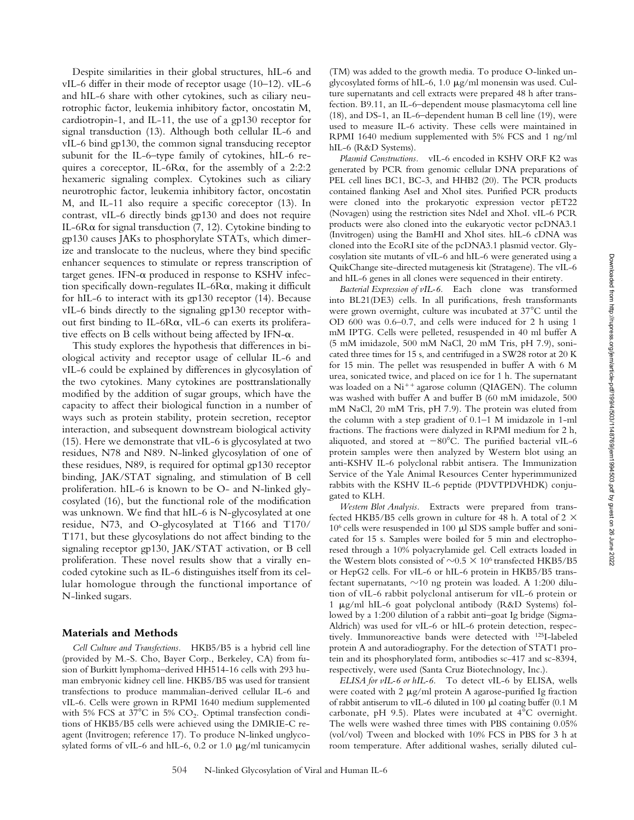Despite similarities in their global structures, hIL-6 and vIL-6 differ in their mode of receptor usage (10–12). vIL-6 and hIL-6 share with other cytokines, such as ciliary neurotrophic factor, leukemia inhibitory factor, oncostatin M, cardiotropin-1, and IL-11, the use of a gp130 receptor for signal transduction (13). Although both cellular IL-6 and vIL-6 bind gp130, the common signal transducing receptor subunit for the IL-6–type family of cytokines, hIL-6 requires a coreceptor, IL-6R $\alpha$ , for the assembly of a 2:2:2 hexameric signaling complex. Cytokines such as ciliary neurotrophic factor, leukemia inhibitory factor, oncostatin M, and IL-11 also require a specific coreceptor (13). In contrast, vIL-6 directly binds gp130 and does not require IL-6 $R\alpha$  for signal transduction (7, 12). Cytokine binding to gp130 causes JAKs to phosphorylate STATs, which dimerize and translocate to the nucleus, where they bind specific enhancer sequences to stimulate or repress transcription of target genes. IFN- $\alpha$  produced in response to KSHV infection specifically down-regulates IL-6 $R\alpha$ , making it difficult for hIL-6 to interact with its gp130 receptor (14). Because vIL-6 binds directly to the signaling gp130 receptor without first binding to IL-6Ra, vIL-6 can exerts its proliferative effects on B cells without being affected by IFN- $\alpha$ .

This study explores the hypothesis that differences in biological activity and receptor usage of cellular IL-6 and vIL-6 could be explained by differences in glycosylation of the two cytokines. Many cytokines are posttranslationally modified by the addition of sugar groups, which have the capacity to affect their biological function in a number of ways such as protein stability, protein secretion, receptor interaction, and subsequent downstream biological activity (15). Here we demonstrate that vIL-6 is glycosylated at two residues, N78 and N89. N-linked glycosylation of one of these residues, N89, is required for optimal gp130 receptor binding, JAK/STAT signaling, and stimulation of B cell proliferation. hIL-6 is known to be O- and N-linked glycosylated (16), but the functional role of the modification was unknown. We find that hIL-6 is N-glycosylated at one residue, N73, and O-glycosylated at T166 and T170/ T171, but these glycosylations do not affect binding to the signaling receptor gp130, JAK/STAT activation, or B cell proliferation. These novel results show that a virally encoded cytokine such as IL-6 distinguishes itself from its cellular homologue through the functional importance of N-linked sugars.

#### **Materials and Methods**

*Cell Culture and Transfections.* HKB5/B5 is a hybrid cell line (provided by M.-S. Cho, Bayer Corp., Berkeley, CA) from fusion of Burkitt lymphoma–derived HH514-16 cells with 293 human embryonic kidney cell line. HKB5/B5 was used for transient transfections to produce mammalian-derived cellular IL-6 and vIL-6. Cells were grown in RPMI 1640 medium supplemented with 5% FCS at 37 $^{\circ}$ C in 5% CO<sub>2</sub>. Optimal transfection conditions of HKB5/B5 cells were achieved using the DMRIE-C reagent (Invitrogen; reference 17). To produce N-linked unglycosylated forms of vIL-6 and hIL-6,  $0.2$  or  $1.0 \mu g/ml$  tunicamycin

(TM) was added to the growth media. To produce O-linked unglycosylated forms of hIL-6, 1.0  $\mu$ g/ml monensin was used. Culture supernatants and cell extracts were prepared 48 h after transfection. B9.11, an IL-6–dependent mouse plasmacytoma cell line (18), and DS-1, an IL-6–dependent human B cell line (19), were used to measure IL-6 activity. These cells were maintained in RPMI 1640 medium supplemented with 5% FCS and 1 ng/ml hIL-6 (R&D Systems).

*Plasmid Constructions.* vIL-6 encoded in KSHV ORF K2 was generated by PCR from genomic cellular DNA preparations of PEL cell lines BC1, BC-3, and HHB2 (20). The PCR products contained flanking AseI and XhoI sites. Purified PCR products were cloned into the prokaryotic expression vector pET22 (Novagen) using the restriction sites NdeI and XhoI. vIL-6 PCR products were also cloned into the eukaryotic vector pcDNA3.1 (Invitrogen) using the BamHI and XhoI sites. hIL-6 cDNA was cloned into the EcoRI site of the pcDNA3.1 plasmid vector. Glycosylation site mutants of vIL-6 and hIL-6 were generated using a QuikChange site-directed mutagenesis kit (Stratagene). The vIL-6 and hIL-6 genes in all clones were sequenced in their entirety.

*Bacterial Expression of vIL-6.* Each clone was transformed into BL21(DE3) cells. In all purifications, fresh transformants were grown overnight, culture was incubated at  $37^{\circ}$ C until the OD 600 was 0.6–0.7, and cells were induced for 2 h using 1 mM IPTG. Cells were pelleted, resuspended in 40 ml buffer A (5 mM imidazole, 500 mM NaCl, 20 mM Tris, pH 7.9), sonicated three times for 15 s, and centrifuged in a SW28 rotor at 20 K for 15 min. The pellet was resuspended in buffer A with 6 M urea, sonicated twice, and placed on ice for 1 h. The supernatant was loaded on a  $Ni^{++}$  agarose column (QIAGEN). The column was washed with buffer A and buffer B (60 mM imidazole, 500 mM NaCl, 20 mM Tris, pH 7.9). The protein was eluted from the column with a step gradient of 0.1–1 M imidazole in 1-ml fractions. The fractions were dialyzed in RPMI medium for 2 h, aliquoted, and stored at  $-80^{\circ}$ C. The purified bacterial vIL-6 protein samples were then analyzed by Western blot using an anti-KSHV IL-6 polyclonal rabbit antisera. The Immunization Service of the Yale Animal Resources Center hyperimmunized rabbits with the KSHV IL-6 peptide (PDVTPDVHDK) conjugated to KLH.

*Western Blot Analysis.* Extracts were prepared from transfected HKB5/B5 cells grown in culture for 48 h. A total of  $2 \times$  $10^6$  cells were resuspended in 100  $\upmu\hspace{-0.4mm}l$  SDS sample buffer and sonicated for 15 s. Samples were boiled for 5 min and electrophoresed through a 10% polyacrylamide gel. Cell extracts loaded in the Western blots consisted of  $\sim 0.5 \times 10^6$  transfected HKB5/B5 or HepG2 cells. For vIL-6 or hIL-6 protein in HKB5/B5 transfectant supernatants,  ${\sim}10$  ng protein was loaded. A 1:200 dilution of vIL-6 rabbit polyclonal antiserum for vIL-6 protein or 1 µg/ml hIL-6 goat polyclonal antibody (R&D Systems) followed by a 1:200 dilution of a rabbit anti–goat Ig bridge (Sigma-Aldrich) was used for vIL-6 or hIL-6 protein detection, respectively. Immunoreactive bands were detected with 125I-labeled protein A and autoradiography. For the detection of STAT1 protein and its phosphorylated form, antibodies sc-417 and sc-8394, respectively, were used (Santa Cruz Biotechnology, Inc.).

*ELISA for vIL-6 or hIL-6.* To detect vIL-6 by ELISA, wells were coated with  $2 \mu g/ml$  protein A agarose-purified Ig fraction of rabbit antiserum to vIL-6 diluted in 100  $\mu$ l coating buffer (0.1 M carbonate, pH 9.5). Plates were incubated at  $4^{\circ}$ C overnight. The wells were washed three times with PBS containing 0.05% (vol/vol) Tween and blocked with 10% FCS in PBS for 3 h at room temperature. After additional washes, serially diluted cul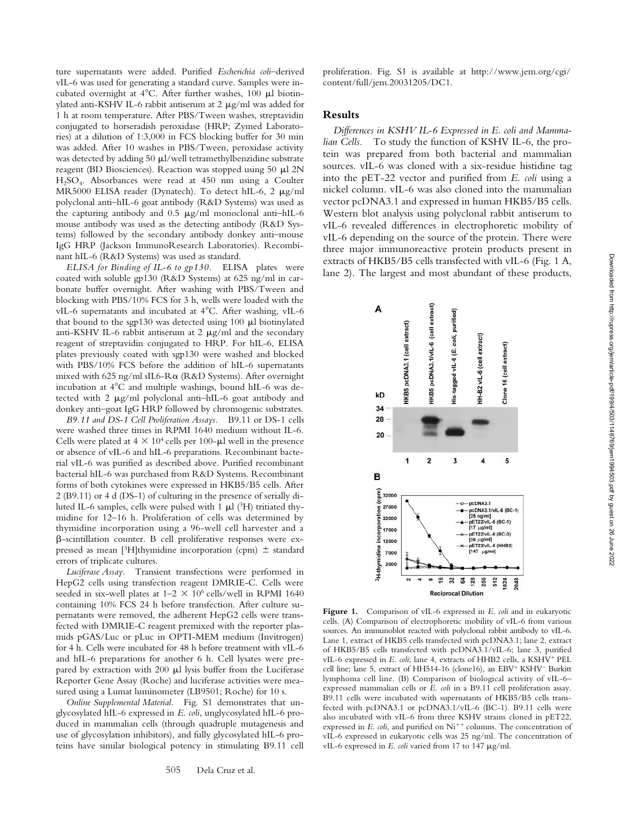ture supernatants were added. Purified *Escherichia coli*–derived vIL-6 was used for generating a standard curve. Samples were incubated overnight at  $4^{\circ}$ C. After further washes, 100  $\mu$ l biotinylated anti-KSHV IL-6 rabbit antiserum at  $2 \mu g/ml$  was added for 1 h at room temperature. After PBS/Tween washes, streptavidin conjugated to horseradish peroxidase (HRP; Zymed Laboratories) at a dilution of 1:3,000 in FCS blocking buffer for 30 min was added. After 10 washes in PBS/Tween, peroxidase activity was detected by adding 50 µl/well tetramethylbenzidine substrate reagent (BD Biosciences). Reaction was stopped using 50  $\mu$ l 2N H2SO4. Absorbances were read at 450 nm using a Coulter MR5000 ELISA reader (Dynatech). To detect hIL-6, 2  $\mu$ g/ml polyclonal anti–hIL-6 goat antibody (R&D Systems) was used as the capturing antibody and  $0.5 \mu g/ml$  monoclonal anti-hIL-6 mouse antibody was used as the detecting antibody (R&D Systems) followed by the secondary antibody donkey anti–mouse IgG HRP (Jackson ImmunoResearch Laboratories). Recombinant hIL-6 (R&D Systems) was used as standard.

*ELISA for Binding of IL-6 to gp130.* ELISA plates were coated with soluble gp130 (R&D Systems) at 625 ng/ml in carbonate buffer overnight. After washing with PBS/Tween and blocking with PBS/10% FCS for 3 h, wells were loaded with the vIL-6 supernatants and incubated at 4°C. After washing, vIL-6 that bound to the sgp130 was detected using 100  $\mu$ l biotinylated anti-KSHV IL-6 rabbit antiserum at 2  $\mu$ g/ml and the secondary reagent of streptavidin conjugated to HRP. For hIL-6, ELISA plates previously coated with sgp130 were washed and blocked with PBS/10% FCS before the addition of hIL-6 supernatants mixed with 625 ng/ml sIL6-R $\alpha$  (R&D Systems). After overnight incubation at  $4^{\circ}$ C and multiple washings, bound hIL-6 was detected with  $2 \mu g/ml$  polyclonal anti-hIL-6 goat antibody and donkey anti–goat IgG HRP followed by chromogenic substrates.

*B9.11 and DS-1 Cell Proliferation Assays.* B9.11 or DS-1 cells were washed three times in RPMI 1640 medium without IL-6. Cells were plated at  $4 \times 10^4$  cells per 100- $\mu$ l well in the presence or absence of vIL-6 and hIL-6 preparations. Recombinant bacterial vIL-6 was purified as described above. Purified recombinant bacterial hIL-6 was purchased from R&D Systems. Recombinant forms of both cytokines were expressed in HKB5/B5 cells. After 2 (B9.11) or 4 d (DS-1) of culturing in the presence of serially diluted IL-6 samples, cells were pulsed with 1  $\mu$ l (<sup>3</sup>H) tritiated thymidine for 12–16 h. Proliferation of cells was determined by thymidine incorporation using a 96-well cell harvester and a -scintillation counter. B cell proliferative responses were expressed as mean [3H]thymidine incorporation (cpm)  $\pm$  standard errors of triplicate cultures.

*Luciferase Assay.* Transient transfections were performed in HepG2 cells using transfection reagent DMRIE-C. Cells were seeded in six-well plates at  $1-2 \times 10^6$  cells/well in RPMI 1640 containing 10% FCS 24 h before transfection. After culture supernatants were removed, the adherent HepG2 cells were transfected with DMRIE-C reagent premixed with the reporter plasmids pGAS/Luc or pLuc in OPTI-MEM medium (Invitrogen) for 4 h. Cells were incubated for 48 h before treatment with vIL-6 and hIL-6 preparations for another 6 h. Cell lysates were prepared by extraction with  $200 \mu l$  lysis buffer from the Luciferase Reporter Gene Assay (Roche) and luciferase activities were measured using a Lumat luminometer (LB9501; Roche) for 10 s.

*Online Supplemental Material.* Fig. S1 demonstrates that unglycosylated hIL-6 expressed in *E. coli*, unglycosylated hIL-6 produced in mammalian cells (through quadruple mutagenesis and use of glycosylation inhibitors), and fully glycosylated hIL-6 proteins have similar biological potency in stimulating B9.11 cell proliferation. Fig. S1 is available at http://www.jem.org/cgi/ content/full/jem.20031205/DC1.

## **Results**

*Differences in KSHV IL-6 Expressed in E. coli and Mammalian Cells.* To study the function of KSHV IL-6, the protein was prepared from both bacterial and mammalian sources. vIL-6 was cloned with a six-residue histidine tag into the pET-22 vector and purified from *E. coli* using a nickel column. vIL-6 was also cloned into the mammalian vector pcDNA3.1 and expressed in human HKB5/B5 cells. Western blot analysis using polyclonal rabbit antiserum to vIL-6 revealed differences in electrophoretic mobility of vIL-6 depending on the source of the protein. There were three major immunoreactive protein products present in extracts of HKB5/B5 cells transfected with vIL-6 (Fig. 1 A, lane 2). The largest and most abundant of these products,



**Figure 1.** Comparison of vIL-6 expressed in *E. coli* and in eukaryotic cells. (A) Comparison of electrophoretic mobility of vIL-6 from various sources. An immunoblot reacted with polyclonal rabbit antibody to vIL-6. Lane 1, extract of HKB5 cells transfected with pcDNA3.1; lane 2, extract of HKB5/B5 cells transfected with pcDNA3.1/vIL-6; lane 3, purified vIL-6 expressed in *E. coli*; lane 4, extracts of HHB2 cells, a KSHV<sup>+</sup> PEL cell line; lane 5, extract of HH514-16 (clone16), an EBV+ KSHV<sup>-</sup> Burkitt lymphoma cell line. (B) Comparison of biological activity of vIL-6– expressed mammalian cells or *E. coli* in a B9.11 cell proliferation assay. B9.11 cells were incubated with supernatants of HKB5/B5 cells transfected with pcDNA3.1 or pcDNA3.1/vIL-6 (BC-1). B9.11 cells were also incubated with vIL-6 from three KSHV strains cloned in pET22, expressed in *E. coli*, and purified on Ni<sup>++</sup> columns. The concentration of vIL-6 expressed in eukaryotic cells was 25 ng/ml. The concentration of vIL-6 expressed in *E. coli* varied from 17 to 147 µg/ml.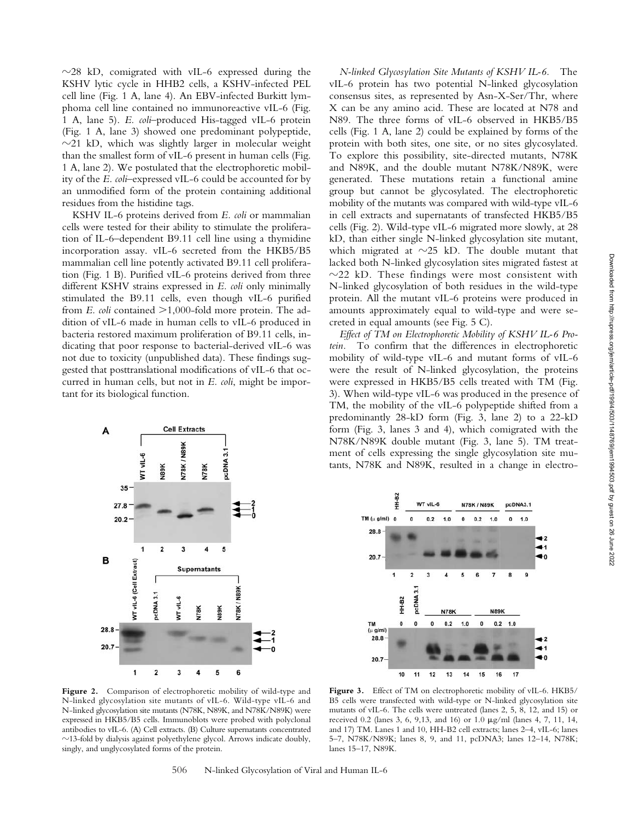$\sim$ 28 kD, comigrated with vIL-6 expressed during the KSHV lytic cycle in HHB2 cells, a KSHV-infected PEL cell line (Fig. 1 A, lane 4). An EBV-infected Burkitt lymphoma cell line contained no immunoreactive vIL-6 (Fig. 1 A, lane 5). *E. coli*–produced His-tagged vIL-6 protein (Fig. 1 A, lane 3) showed one predominant polypeptide,  $\sim$ 21 kD, which was slightly larger in molecular weight than the smallest form of vIL-6 present in human cells (Fig. 1 A, lane 2). We postulated that the electrophoretic mobility of the *E. coli*–expressed vIL-6 could be accounted for by an unmodified form of the protein containing additional residues from the histidine tags.

KSHV IL-6 proteins derived from *E. coli* or mammalian cells were tested for their ability to stimulate the proliferation of IL-6–dependent B9.11 cell line using a thymidine incorporation assay. vIL-6 secreted from the HKB5/B5 mammalian cell line potently activated B9.11 cell proliferation (Fig. 1 B). Purified vIL-6 proteins derived from three different KSHV strains expressed in *E. coli* only minimally stimulated the B9.11 cells, even though vIL-6 purified from *E. coli* contained  $>1,000$ -fold more protein. The addition of vIL-6 made in human cells to vIL-6 produced in bacteria restored maximum proliferation of B9.11 cells, indicating that poor response to bacterial-derived vIL-6 was not due to toxicity (unpublished data). These findings suggested that posttranslational modifications of vIL-6 that occurred in human cells, but not in *E. coli*, might be important for its biological function.

*N-linked Glycosylation Site Mutants of KSHV IL-6.* The vIL-6 protein has two potential N-linked glycosylation consensus sites, as represented by Asn-X-Ser/Thr, where X can be any amino acid. These are located at N78 and N89. The three forms of vIL-6 observed in HKB5/B5 cells (Fig. 1 A, lane 2) could be explained by forms of the protein with both sites, one site, or no sites glycosylated. To explore this possibility, site-directed mutants, N78K and N89K, and the double mutant N78K/N89K, were generated. These mutations retain a functional amine group but cannot be glycosylated. The electrophoretic mobility of the mutants was compared with wild-type vIL-6 in cell extracts and supernatants of transfected HKB5/B5 cells (Fig. 2). Wild-type vIL-6 migrated more slowly, at 28 kD, than either single N-linked glycosylation site mutant, which migrated at  $\sim$ 25 kD. The double mutant that lacked both N-linked glycosylation sites migrated fastest at  $\sim$ 22 kD. These findings were most consistent with N-linked glycosylation of both residues in the wild-type protein. All the mutant vIL-6 proteins were produced in amounts approximately equal to wild-type and were secreted in equal amounts (see Fig. 5 C).

*Effect of TM on Electrophoretic Mobility of KSHV IL-6 Protein.* To confirm that the differences in electrophoretic mobility of wild-type vIL-6 and mutant forms of vIL-6 were the result of N-linked glycosylation, the proteins were expressed in HKB5/B5 cells treated with TM (Fig. 3). When wild-type vIL-6 was produced in the presence of TM, the mobility of the vIL-6 polypeptide shifted from a predominantly 28-kD form (Fig. 3, lane 2) to a 22-kD form (Fig. 3, lanes 3 and 4), which comigrated with the N78K/N89K double mutant (Fig. 3, lane 5). TM treatment of cells expressing the single glycosylation site mutants, N78K and N89K, resulted in a change in electro-



**Figure 2.** Comparison of electrophoretic mobility of wild-type and N-linked glycosylation site mutants of vIL-6. Wild-type vIL-6 and N-linked glycosylation site mutants (N78K, N89K, and N78K/N89K) were expressed in HKB5/B5 cells. Immunoblots were probed with polyclonal antibodies to vIL-6. (A) Cell extracts. (B) Culture supernatants concentrated  $\sim$ 13-fold by dialysis against polyethylene glycol. Arrows indicate doubly, singly, and unglycosylated forms of the protein.

1H-B2 WT vIL-6 **N78K / N89K** pcDNA3.1  $TM (u q/ml)$  $\mathbf{0}$  $\mathbf{0}$  $\mathbf{0.2}$  $1.0\,$  $\pmb{0}$  $0.2\,$  $1.0$  $\pmb{0}$  $1.0$ 28.8 20.7  $\overline{\mathbf{2}}$  $\overline{7}$ 8  $\overline{9}$ 1  $\overline{3}$ pcDNA 3.1 HH-B2 **N78K N89K**  $\mathbf{0}$ TM  $\mathbf{0}$ 0  $0.2$  $1.0$  $0.2$  $1.0$  $(\mu$  g/ml 28.8 20.7 10 11  $12$ 13  $14$ 15 16 17

Figure 3. Effect of TM on electrophoretic mobility of vIL-6. HKB5/ B5 cells were transfected with wild-type or N-linked glycosylation site mutants of vIL-6. The cells were untreated (lanes 2, 5, 8, 12, and 15) or received 0.2 (lanes 3, 6, 9,13, and 16) or 1.0  $\mu$ g/ml (lanes 4, 7, 11, 14, and 17) TM. Lanes 1 and 10, HH-B2 cell extracts; lanes 2–4, vIL-6; lanes 5–7, N78K/N89K; lanes 8, 9, and 11, pcDNA3; lanes 12–14, N78K; lanes 15–17, N89K.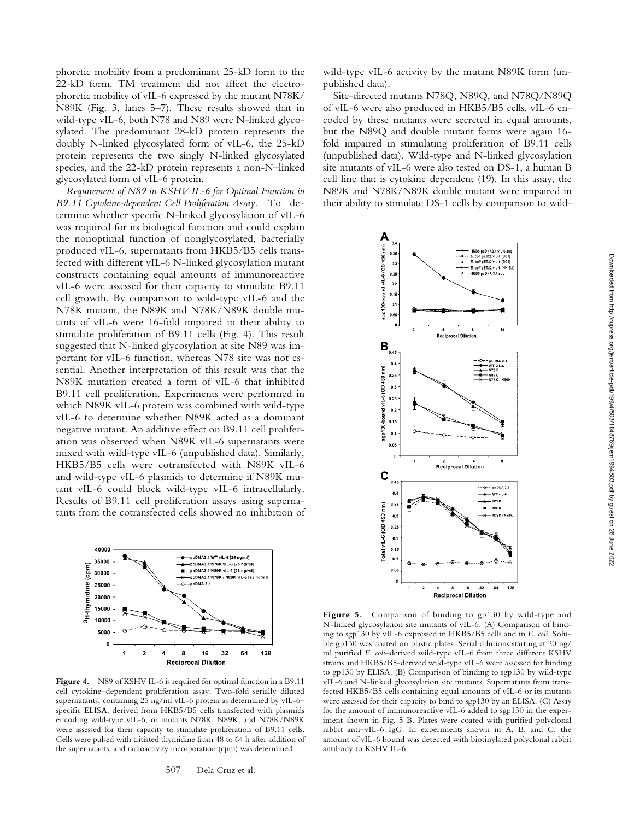phoretic mobility from a predominant 25-kD form to the 22-kD form. TM treatment did not affect the electrophoretic mobility of vIL-6 expressed by the mutant N78K/ N89K (Fig. 3, lanes 5–7). These results showed that in wild-type vIL-6, both N78 and N89 were N-linked glycosylated. The predominant 28-kD protein represents the doubly N-linked glycosylated form of vIL-6, the 25-kD protein represents the two singly N-linked glycosylated species, and the 22-kD protein represents a non-N–linked glycosylated form of vIL-6 protein.

*Requirement of N89 in KSHV IL-6 for Optimal Function in B9.11 Cytokine-dependent Cell Proliferation Assay.* To determine whether specific N-linked glycosylation of vIL-6 was required for its biological function and could explain the nonoptimal function of nonglycosylated, bacterially produced vIL-6, supernatants from HKB5/B5 cells transfected with different vIL-6 N-linked glycosylation mutant constructs containing equal amounts of immunoreactive vIL-6 were assessed for their capacity to stimulate B9.11 cell growth. By comparison to wild-type vIL-6 and the N78K mutant, the N89K and N78K/N89K double mutants of vIL-6 were 16-fold impaired in their ability to stimulate proliferation of B9.11 cells (Fig. 4). This result suggested that N-linked glycosylation at site N89 was important for vIL-6 function, whereas N78 site was not essential. Another interpretation of this result was that the N89K mutation created a form of vIL-6 that inhibited B9.11 cell proliferation. Experiments were performed in which N89K vIL-6 protein was combined with wild-type vIL-6 to determine whether N89K acted as a dominant negative mutant. An additive effect on B9.11 cell proliferation was observed when N89K vIL-6 supernatants were mixed with wild-type vIL-6 (unpublished data). Similarly, HKB5/B5 cells were cotransfected with N89K vIL-6 and wild-type vIL-6 plasmids to determine if N89K mutant vIL-6 could block wild-type vIL-6 intracellularly. Results of B9.11 cell proliferation assays using supernatants from the cotransfected cells showed no inhibition of



Figure 4. N89 of KSHV IL-6 is required for optimal function in a B9.11 cell cytokine–dependent proliferation assay. Two-fold serially diluted supernatants, containing 25 ng/ml vIL-6 protein as determined by vIL-6– specific ELISA, derived from HKB5/B5 cells transfected with plasmids encoding wild-type vIL-6, or mutants N78K, N89K, and N78K/N89K were assessed for their capacity to stimulate proliferation of B9.11 cells. Cells were pulsed with tritiated thymidine from 48 to 64 h after addition of the supernatants, and radioactivity incorporation (cpm) was determined.

wild-type vIL-6 activity by the mutant N89K form (unpublished data).

Site-directed mutants N78Q, N89Q, and N78Q/N89Q of vIL-6 were also produced in HKB5/B5 cells. vIL-6 encoded by these mutants were secreted in equal amounts, but the N89Q and double mutant forms were again 16 fold impaired in stimulating proliferation of B9.11 cells (unpublished data). Wild-type and N-linked glycosylation site mutants of vIL-6 were also tested on DS-1, a human B cell line that is cytokine dependent (19). In this assay, the N89K and N78K/N89K double mutant were impaired in their ability to stimulate DS-1 cells by comparison to wild-



**Figure 5.** Comparison of binding to gp130 by wild-type and N-linked glycosylation site mutants of vIL-6. (A) Comparison of binding to sgp130 by vIL-6 expressed in HKB5/B5 cells and in *E. coli*. Soluble gp130 was coated on plastic plates. Serial dilutions starting at 20 ng/ ml purified *E. coli*–derived wild-type vIL-6 from three different KSHV strains and HKB5/B5-derived wild-type vIL-6 were assessed for binding to gp130 by ELISA. (B) Comparison of binding to sgp130 by wild-type vIL-6 and N-linked glycosylation site mutants. Supernatants from transfected HKB5/B5 cells containing equal amounts of vIL-6 or its mutants were assessed for their capacity to bind to sgp130 by an ELISA. (C) Assay for the amount of immunoreactive vIL-6 added to sgp130 in the experiment shown in Fig. 5 B. Plates were coated with purified polyclonal rabbit anti–vIL-6 IgG. In experiments shown in A, B, and C, the amount of vIL-6 bound was detected with biotinylated polyclonal rabbit antibody to KSHV IL-6.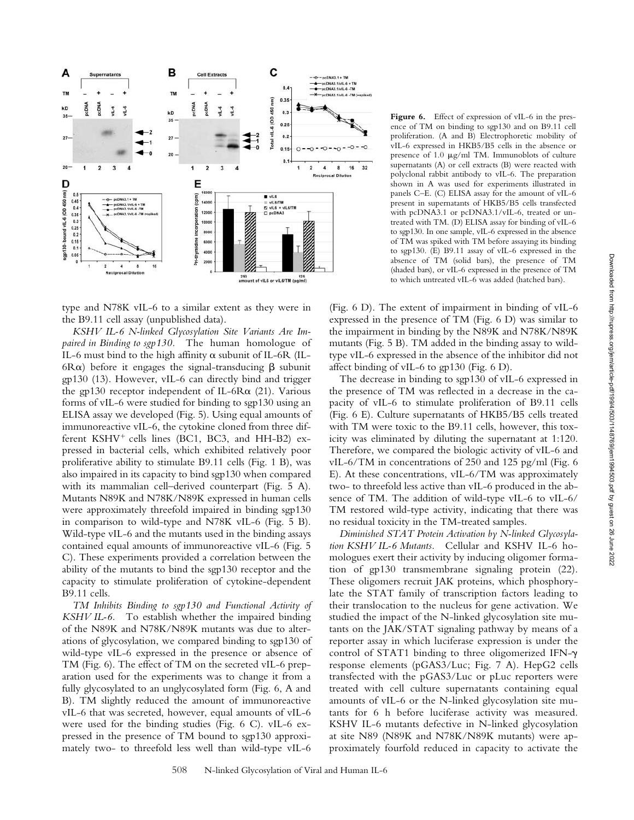

type and N78K vIL-6 to a similar extent as they were in the B9.11 cell assay (unpublished data).

*KSHV IL-6 N-linked Glycosylation Site Variants Are Impaired in Binding to sgp130.* The human homologue of IL-6 must bind to the high affinity  $\alpha$  subunit of IL-6R (IL-6R $\alpha$ ) before it engages the signal-transducing  $\beta$  subunit gp130 (13). However, vIL-6 can directly bind and trigger the gp130 receptor independent of IL-6R $\alpha$  (21). Various forms of vIL-6 were studied for binding to sgp130 using an ELISA assay we developed (Fig. 5). Using equal amounts of immunoreactive vIL-6, the cytokine cloned from three different KSHV<sup>+</sup> cells lines (BC1, BC3, and HH-B2) expressed in bacterial cells, which exhibited relatively poor proliferative ability to stimulate B9.11 cells (Fig. 1 B), was also impaired in its capacity to bind sgp130 when compared with its mammalian cell–derived counterpart (Fig. 5 A). Mutants N89K and N78K/N89K expressed in human cells were approximately threefold impaired in binding sgp130 in comparison to wild-type and N78K vIL-6 (Fig. 5 B). Wild-type vIL-6 and the mutants used in the binding assays contained equal amounts of immunoreactive vIL-6 (Fig. 5 C). These experiments provided a correlation between the ability of the mutants to bind the sgp130 receptor and the capacity to stimulate proliferation of cytokine-dependent B9.11 cells.

*TM Inhibits Binding to sgp130 and Functional Activity of KSHV IL-6.* To establish whether the impaired binding of the N89K and N78K/N89K mutants was due to alterations of glycosylation, we compared binding to sgp130 of wild-type vIL-6 expressed in the presence or absence of TM (Fig. 6). The effect of TM on the secreted vIL-6 preparation used for the experiments was to change it from a fully glycosylated to an unglycosylated form (Fig. 6, A and B). TM slightly reduced the amount of immunoreactive vIL-6 that was secreted, however, equal amounts of vIL-6 were used for the binding studies (Fig. 6 C). vIL-6 expressed in the presence of TM bound to sgp130 approximately two- to threefold less well than wild-type vIL-6

Figure 6. Effect of expression of vIL-6 in the presence of TM on binding to sgp130 and on B9.11 cell proliferation. (A and B) Electrophoretic mobility of vIL-6 expressed in HKB5/B5 cells in the absence or presence of 1.0  $\mu$ g/ml TM. Immunoblots of culture supernatants (A) or cell extracts (B) were reacted with polyclonal rabbit antibody to vIL-6. The preparation shown in A was used for experiments illustrated in panels C–E. (C) ELISA assay for the amount of vIL-6 present in supernatants of HKB5/B5 cells transfected with pcDNA3.1 or pcDNA3.1/vIL-6, treated or untreated with TM. (D) ELISA assay for binding of vIL-6 to sgp130. In one sample, vIL-6 expressed in the absence of TM was spiked with TM before assaying its binding to sgp130. (E) B9.11 assay of vIL-6 expressed in the absence of TM (solid bars), the presence of TM (shaded bars), or vIL-6 expressed in the presence of TM to which untreated vIL-6 was added (hatched bars).

(Fig. 6 D). The extent of impairment in binding of vIL-6 expressed in the presence of TM (Fig. 6 D) was similar to the impairment in binding by the N89K and N78K/N89K mutants (Fig. 5 B). TM added in the binding assay to wildtype vIL-6 expressed in the absence of the inhibitor did not affect binding of vIL-6 to gp130 (Fig. 6 D).

The decrease in binding to sgp130 of vIL-6 expressed in the presence of TM was reflected in a decrease in the capacity of vIL-6 to stimulate proliferation of B9.11 cells (Fig. 6 E). Culture supernatants of HKB5/B5 cells treated with TM were toxic to the B9.11 cells, however, this toxicity was eliminated by diluting the supernatant at 1:120. Therefore, we compared the biologic activity of vIL-6 and vIL-6/TM in concentrations of 250 and 125 pg/ml (Fig. 6 E). At these concentrations, vIL-6/TM was approximately two- to threefold less active than vIL-6 produced in the absence of TM. The addition of wild-type vIL-6 to vIL-6/ TM restored wild-type activity, indicating that there was no residual toxicity in the TM-treated samples.

*Diminished STAT Protein Activation by N-linked Glycosylation KSHV IL-6 Mutants.* Cellular and KSHV IL-6 homologues exert their activity by inducing oligomer formation of gp130 transmembrane signaling protein (22). These oligomers recruit JAK proteins, which phosphorylate the STAT family of transcription factors leading to their translocation to the nucleus for gene activation. We studied the impact of the N-linked glycosylation site mutants on the JAK/STAT signaling pathway by means of a reporter assay in which luciferase expression is under the control of STAT1 binding to three oligomerized IFN- $\gamma$ response elements (pGAS3/Luc; Fig. 7 A). HepG2 cells transfected with the pGAS3/Luc or pLuc reporters were treated with cell culture supernatants containing equal amounts of vIL-6 or the N-linked glycosylation site mutants for 6 h before luciferase activity was measured. KSHV IL-6 mutants defective in N-linked glycosylation at site N89 (N89K and N78K/N89K mutants) were approximately fourfold reduced in capacity to activate the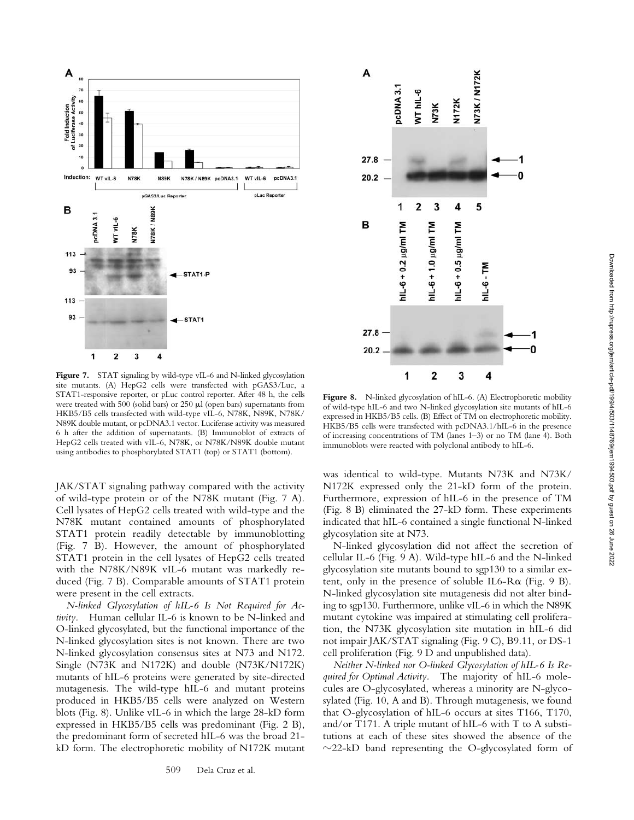

Figure 7. STAT signaling by wild-type vIL-6 and N-linked glycosylation site mutants. (A) HepG2 cells were transfected with pGAS3/Luc, a STAT1-responsive reporter, or pLuc control reporter. After 48 h, the cells were treated with 500 (solid bars) or 250  $\mu$ l (open bars) supernatants from HKB5/B5 cells transfected with wild-type vIL-6, N78K, N89K, N78K/ N89K double mutant, or pcDNA3.1 vector. Luciferase activity was measured 6 h after the addition of supernatants. (B) Immunoblot of extracts of HepG2 cells treated with vIL-6, N78K, or N78K/N89K double mutant using antibodies to phosphorylated STAT1 (top) or STAT1 (bottom).

JAK/STAT signaling pathway compared with the activity of wild-type protein or of the N78K mutant (Fig. 7 A). Cell lysates of HepG2 cells treated with wild-type and the N78K mutant contained amounts of phosphorylated STAT1 protein readily detectable by immunoblotting (Fig. 7 B). However, the amount of phosphorylated STAT1 protein in the cell lysates of HepG2 cells treated with the N78K/N89K vIL-6 mutant was markedly reduced (Fig. 7 B). Comparable amounts of STAT1 protein were present in the cell extracts.

*N-linked Glycosylation of hIL-6 Is Not Required for Activity.* Human cellular IL-6 is known to be N-linked and O-linked glycosylated, but the functional importance of the N-linked glycosylation sites is not known. There are two N-linked glycosylation consensus sites at N73 and N172. Single (N73K and N172K) and double (N73K/N172K) mutants of hIL-6 proteins were generated by site-directed mutagenesis. The wild-type hIL-6 and mutant proteins produced in HKB5/B5 cells were analyzed on Western blots (Fig. 8). Unlike vIL-6 in which the large 28-kD form expressed in HKB5/B5 cells was predominant (Fig. 2 B), the predominant form of secreted hIL-6 was the broad 21 kD form. The electrophoretic mobility of N172K mutant



Figure 8. N-linked glycosylation of hIL-6. (A) Electrophoretic mobility of wild-type hIL-6 and two N-linked glycosylation site mutants of hIL-6 expressed in HKB5/B5 cells. (B) Effect of TM on electrophoretic mobility. HKB5/B5 cells were transfected with pcDNA3.1/hIL-6 in the presence of increasing concentrations of TM (lanes 1–3) or no TM (lane 4). Both immunoblots were reacted with polyclonal antibody to hIL-6.

was identical to wild-type. Mutants N73K and N73K/ N172K expressed only the 21-kD form of the protein. Furthermore, expression of hIL-6 in the presence of TM (Fig. 8 B) eliminated the 27-kD form. These experiments indicated that hIL-6 contained a single functional N-linked glycosylation site at N73.

N-linked glycosylation did not affect the secretion of cellular IL-6 (Fig. 9 A). Wild-type hIL-6 and the N-linked glycosylation site mutants bound to sgp130 to a similar extent, only in the presence of soluble IL6- $R\alpha$  (Fig. 9 B). N-linked glycosylation site mutagenesis did not alter binding to sgp130. Furthermore, unlike vIL-6 in which the N89K mutant cytokine was impaired at stimulating cell proliferation, the N73K glycosylation site mutation in hIL-6 did not impair JAK/STAT signaling (Fig. 9 C), B9.11, or DS-1 cell proliferation (Fig. 9 D and unpublished data).

*Neither N-linked nor O-linked Glycosylation of hIL-6 Is Required for Optimal Activity.* The majority of hIL-6 molecules are O-glycosylated, whereas a minority are N-glycosylated (Fig. 10, A and B). Through mutagenesis, we found that O-glycosylation of hIL-6 occurs at sites T166, T170, and/or T171. A triple mutant of hIL-6 with T to A substitutions at each of these sites showed the absence of the  $\sim$ 22-kD band representing the O-glycosylated form of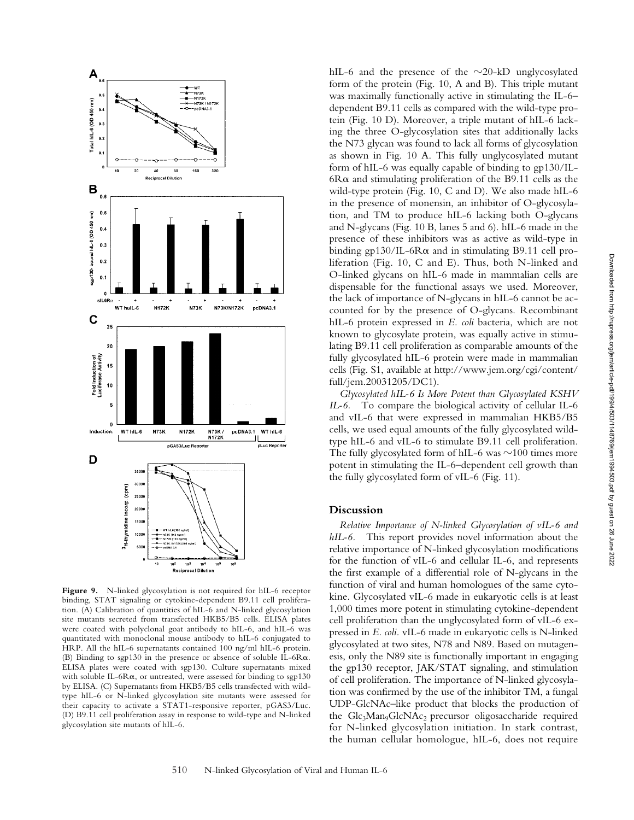

Figure 9. N-linked glycosylation is not required for hIL-6 receptor binding, STAT signaling or cytokine-dependent B9.11 cell proliferation. (A) Calibration of quantities of hIL-6 and N-linked glycosylation site mutants secreted from transfected HKB5/B5 cells. ELISA plates were coated with polyclonal goat antibody to hIL-6, and hIL-6 was quantitated with monoclonal mouse antibody to hIL-6 conjugated to HRP. All the hIL-6 supernatants contained 100 ng/ml hIL-6 protein. (B) Binding to sgp130 in the presence or absence of soluble IL-6R $\alpha$ . ELISA plates were coated with sgp130. Culture supernatants mixed with soluble IL-6R $\alpha$ , or untreated, were assessed for binding to sgp130 by ELISA. (C) Supernatants from HKB5/B5 cells transfected with wildtype hIL-6 or N-linked glycosylation site mutants were assessed for their capacity to activate a STAT1-responsive reporter, pGAS3/Luc. (D) B9.11 cell proliferation assay in response to wild-type and N-linked glycosylation site mutants of hIL-6.

hIL-6 and the presence of the  $\sim$ 20-kD unglycosylated form of the protein (Fig. 10, A and B). This triple mutant was maximally functionally active in stimulating the IL-6– dependent B9.11 cells as compared with the wild-type protein (Fig. 10 D). Moreover, a triple mutant of hIL-6 lacking the three O-glycosylation sites that additionally lacks the N73 glycan was found to lack all forms of glycosylation as shown in Fig. 10 A. This fully unglycosylated mutant form of hIL-6 was equally capable of binding to gp130/IL- $6R\alpha$  and stimulating proliferation of the B9.11 cells as the wild-type protein (Fig. 10, C and D). We also made hIL-6 in the presence of monensin, an inhibitor of O-glycosylation, and TM to produce hIL-6 lacking both O-glycans and N-glycans (Fig. 10 B, lanes 5 and 6). hIL-6 made in the presence of these inhibitors was as active as wild-type in binding  $gp130/IL-6R\alpha$  and in stimulating B9.11 cell proliferation (Fig. 10, C and E). Thus, both N-linked and O-linked glycans on hIL-6 made in mammalian cells are dispensable for the functional assays we used. Moreover, the lack of importance of N-glycans in hIL-6 cannot be accounted for by the presence of O-glycans. Recombinant hIL-6 protein expressed in *E. coli* bacteria, which are not known to glycosylate protein, was equally active in stimulating B9.11 cell proliferation as comparable amounts of the fully glycosylated hIL-6 protein were made in mammalian cells (Fig. S1, available at http://www.jem.org/cgi/content/ full/jem.20031205/DC1).

*Glycosylated hIL-6 Is More Potent than Glycosylated KSHV IL-6.* To compare the biological activity of cellular IL-6 and vIL-6 that were expressed in mammalian HKB5/B5 cells, we used equal amounts of the fully glycosylated wildtype hIL-6 and vIL-6 to stimulate B9.11 cell proliferation. The fully glycosylated form of hIL-6 was  $\sim$ 100 times more potent in stimulating the IL-6–dependent cell growth than the fully glycosylated form of vIL-6 (Fig. 11).

## **Discussion**

*Relative Importance of N-linked Glycosylation of vIL-6 and hIL-6.* This report provides novel information about the relative importance of N-linked glycosylation modifications for the function of vIL-6 and cellular IL-6, and represents the first example of a differential role of N-glycans in the function of viral and human homologues of the same cytokine. Glycosylated vIL-6 made in eukaryotic cells is at least 1,000 times more potent in stimulating cytokine-dependent cell proliferation than the unglycosylated form of vIL-6 expressed in *E. coli.* vIL-6 made in eukaryotic cells is N-linked glycosylated at two sites, N78 and N89. Based on mutagenesis, only the N89 site is functionally important in engaging the gp130 receptor, JAK/STAT signaling, and stimulation of cell proliferation. The importance of N-linked glycosylation was confirmed by the use of the inhibitor TM, a fungal UDP-GlcNAc–like product that blocks the production of the Glc<sub>3</sub>Man<sub>9</sub>GlcNAc<sub>2</sub> precursor oligosaccharide required for N-linked glycosylation initiation. In stark contrast, the human cellular homologue, hIL-6, does not require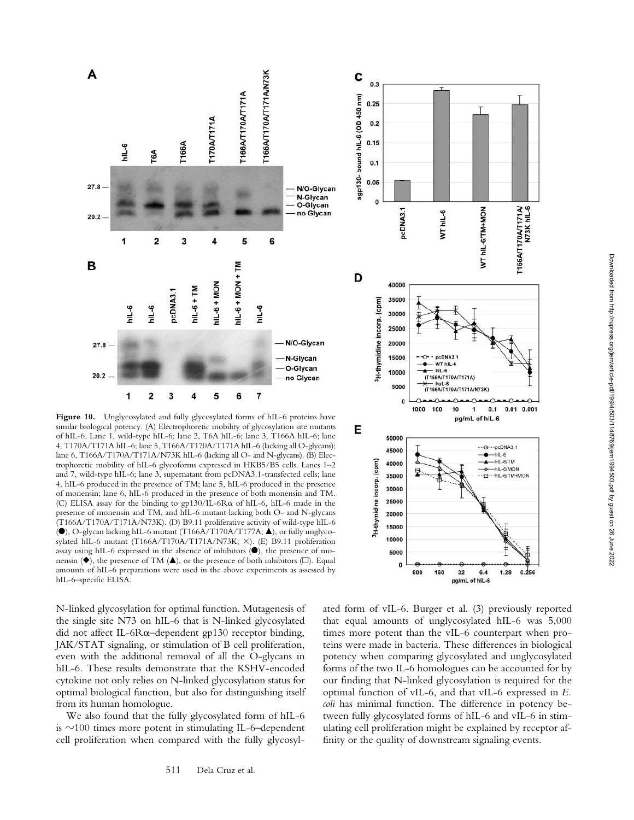

Figure 10. Unglycosylated and fully glycosylated forms of hIL-6 proteins have similar biological potency. (A) Electrophoretic mobility of glycosylation site mutants of hIL-6. Lane 1, wild-type hIL-6; lane 2, T6A hIL-6; lane 3, T166A hIL-6; lane 4, T170A/T171A hIL-6; lane 5, T166A/T170A/T171A hIL-6 (lacking all O-glycans); lane 6, T166A/T170A/T171A/N73K hIL-6 (lacking all O- and N-glycans). (B) Electrophoretic mobility of hIL-6 glycoforms expressed in HKB5/B5 cells. Lanes 1–2 and 7, wild-type hIL-6; lane 3, supernatant from pcDNA3.1-transfected cells; lane 4, hIL-6 produced in the presence of TM; lane 5, hIL-6 produced in the presence of monensin; lane 6, hIL-6 produced in the presence of both monensin and TM. (C) ELISA assay for the binding to  $gp130/IL-6R\alpha$  of hIL-6, hIL-6 made in the presence of monensin and TM, and hIL-6 mutant lacking both O- and N-glycans (T166A/T170A/T171A/N73K). (D) B9.11 proliferative activity of wild-type hIL-6 (<sup>●</sup>), O-glycan lacking hIL-6 mutant (T166A/T170A/T177A; ▲), or fully unglycosylated hIL-6 mutant (T166A/T170A/T171A/N73K;  $\times$ ). (E) B9.11 proliferation assay using hIL-6 expressed in the absence of inhibitors  $($ <sup>o</sup>), the presence of monensin ( $\bullet$ ), the presence of TM ( $\blacktriangle$ ), or the presence of both inhibitors ( $\square$ ). Equal amounts of hIL-6 preparations were used in the above experiments as assessed by hIL-6–specific ELISA.

N-linked glycosylation for optimal function. Mutagenesis of the single site N73 on hIL-6 that is N-linked glycosylated did not affect IL-6R $\alpha$ -dependent gp130 receptor binding, JAK/STAT signaling, or stimulation of B cell proliferation, even with the additional removal of all the O-glycans in hIL-6. These results demonstrate that the KSHV-encoded cytokine not only relies on N-linked glycosylation status for optimal biological function, but also for distinguishing itself from its human homologue.

We also found that the fully glycosylated form of hIL-6 is  $\sim$ 100 times more potent in stimulating IL-6–dependent cell proliferation when compared with the fully glycosyl-



ated form of vIL-6. Burger et al. (3) previously reported that equal amounts of unglycosylated hIL-6 was 5,000 times more potent than the vIL-6 counterpart when proteins were made in bacteria. These differences in biological potency when comparing glycosylated and unglycosylated forms of the two IL-6 homologues can be accounted for by our finding that N-linked glycosylation is required for the optimal function of vIL-6, and that vIL-6 expressed in *E. coli* has minimal function. The difference in potency between fully glycosylated forms of hIL-6 and vIL-6 in stimulating cell proliferation might be explained by receptor affinity or the quality of downstream signaling events.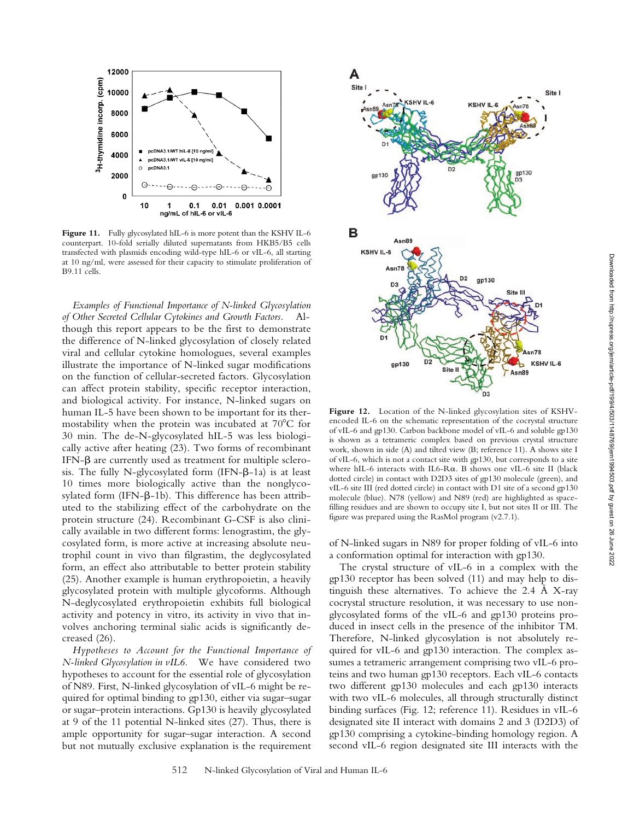

**Figure 11.** Fully glycosylated hIL-6 is more potent than the KSHV IL-6 counterpart. 10-fold serially diluted supernatants from HKB5/B5 cells transfected with plasmids encoding wild-type hIL-6 or vIL-6, all starting at 10 ng/ml, were assessed for their capacity to stimulate proliferation of B9.11 cells.

*Examples of Functional Importance of N-linked Glycosylation of Other Secreted Cellular Cytokines and Growth Factors.* Although this report appears to be the first to demonstrate the difference of N-linked glycosylation of closely related viral and cellular cytokine homologues, several examples illustrate the importance of N-linked sugar modifications on the function of cellular-secreted factors. Glycosylation can affect protein stability, specific receptor interaction, and biological activity. For instance, N-linked sugars on human IL-5 have been shown to be important for its thermostability when the protein was incubated at  $70^{\circ}$ C for 30 min. The de-N-glycosylated hIL-5 was less biologically active after heating (23). Two forms of recombinant IFN- $\beta$  are currently used as treatment for multiple sclerosis. The fully N-glycosylated form  $(IFN-\beta-1a)$  is at least 10 times more biologically active than the nonglycosylated form (IFN- $\beta$ -1b). This difference has been attributed to the stabilizing effect of the carbohydrate on the protein structure (24). Recombinant G-CSF is also clinically available in two different forms: lenograstim, the glycosylated form, is more active at increasing absolute neutrophil count in vivo than filgrastim, the deglycosylated form, an effect also attributable to better protein stability (25). Another example is human erythropoietin, a heavily glycosylated protein with multiple glycoforms. Although N-deglycosylated erythropoietin exhibits full biological activity and potency in vitro, its activity in vivo that involves anchoring terminal sialic acids is significantly decreased (26).

*Hypotheses to Account for the Functional Importance of N-linked Glycosylation in vIL6.* We have considered two hypotheses to account for the essential role of glycosylation of N89. First, N-linked glycosylation of vIL-6 might be required for optimal binding to gp130, either via sugar–sugar or sugar–protein interactions. Gp130 is heavily glycosylated at 9 of the 11 potential N-linked sites (27). Thus, there is ample opportunity for sugar–sugar interaction. A second but not mutually exclusive explanation is the requirement



**Figure 12.** Location of the N-linked glycosylation sites of KSHVencoded IL-6 on the schematic representation of the cocrystal structure of vIL-6 and gp130. Carbon backbone model of vIL-6 and soluble gp130 is shown as a tetrameric complex based on previous crystal structure work, shown in side (A) and tilted view (B; reference 11). A shows site I of vIL-6, which is not a contact site with gp130, but corresponds to a site where hIL-6 interacts with IL6-R $\alpha$ . B shows one vIL-6 site II (black dotted circle) in contact with D2D3 sites of gp130 molecule (green), and vIL-6 site III (red dotted circle) in contact with D1 site of a second gp130 molecule (blue). N78 (yellow) and N89 (red) are highlighted as spacefilling residues and are shown to occupy site I, but not sites II or III. The figure was prepared using the RasMol program (v2.7.1).

of N-linked sugars in N89 for proper folding of vIL-6 into a conformation optimal for interaction with gp130.

The crystal structure of vIL-6 in a complex with the gp130 receptor has been solved (11) and may help to distinguish these alternatives. To achieve the 2.4 Å X-ray cocrystal structure resolution, it was necessary to use nonglycosylated forms of the vIL-6 and gp130 proteins produced in insect cells in the presence of the inhibitor TM. Therefore, N-linked glycosylation is not absolutely required for vIL-6 and gp130 interaction. The complex assumes a tetrameric arrangement comprising two vIL-6 proteins and two human gp130 receptors. Each vIL-6 contacts two different gp130 molecules and each gp130 interacts with two vIL-6 molecules, all through structurally distinct binding surfaces (Fig. 12; reference 11). Residues in vIL-6 designated site II interact with domains 2 and 3 (D2D3) of gp130 comprising a cytokine-binding homology region. A second vIL-6 region designated site III interacts with the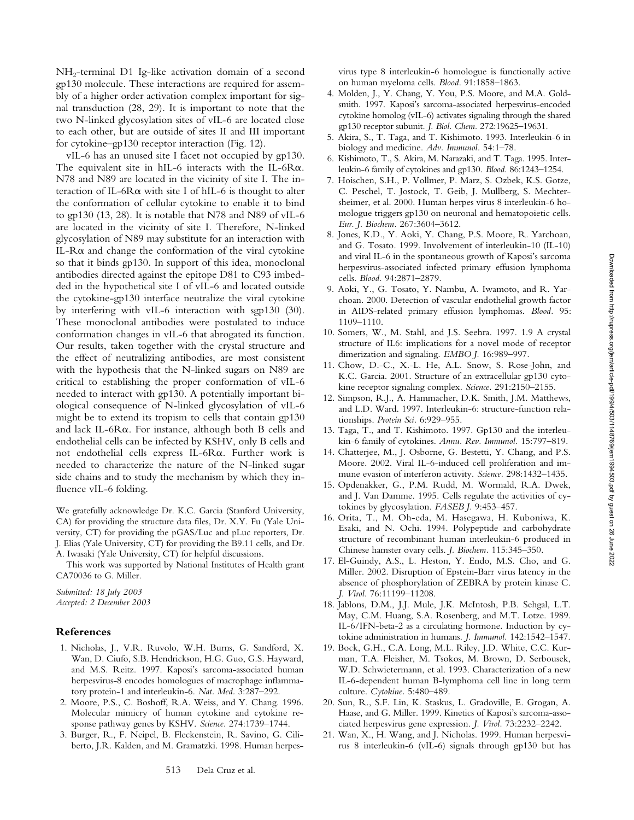$NH<sub>2</sub>$ -terminal D1 Ig-like activation domain of a second gp130 molecule. These interactions are required for assembly of a higher order activation complex important for signal transduction (28, 29). It is important to note that the two N-linked glycosylation sites of vIL-6 are located close to each other, but are outside of sites II and III important for cytokine–gp130 receptor interaction (Fig. 12).

vIL-6 has an unused site I facet not occupied by gp130. The equivalent site in hIL-6 interacts with the IL-6R $\alpha$ . N78 and N89 are located in the vicinity of site I. The interaction of IL-6R $\alpha$  with site I of hIL-6 is thought to alter the conformation of cellular cytokine to enable it to bind to gp130 (13, 28). It is notable that N78 and N89 of vIL-6 are located in the vicinity of site I. Therefore, N-linked glycosylation of N89 may substitute for an interaction with IL-R $\alpha$  and change the conformation of the viral cytokine so that it binds gp130. In support of this idea, monoclonal antibodies directed against the epitope D81 to C93 imbedded in the hypothetical site I of vIL-6 and located outside the cytokine-gp130 interface neutralize the viral cytokine by interfering with vIL-6 interaction with sgp130 (30). These monoclonal antibodies were postulated to induce conformation changes in vIL-6 that abrogated its function. Our results, taken together with the crystal structure and the effect of neutralizing antibodies, are most consistent with the hypothesis that the N-linked sugars on N89 are critical to establishing the proper conformation of vIL-6 needed to interact with gp130. A potentially important biological consequence of N-linked glycosylation of vIL-6 might be to extend its tropism to cells that contain gp130 and lack IL-6R $\alpha$ . For instance, although both B cells and endothelial cells can be infected by KSHV, only B cells and not endothelial cells express IL-6Ra. Further work is needed to characterize the nature of the N-linked sugar side chains and to study the mechanism by which they influence vIL-6 folding.

We gratefully acknowledge Dr. K.C. Garcia (Stanford University, CA) for providing the structure data files, Dr. X.Y. Fu (Yale University, CT) for providing the pGAS/Luc and pLuc reporters, Dr. J. Elias (Yale University, CT) for providing the B9.11 cells, and Dr. A. Iwasaki (Yale University, CT) for helpful discussions.

This work was supported by National Institutes of Health grant CA70036 to G. Miller.

*Submitted: 18 July 2003 Accepted: 2 December 2003*

## **References**

- 1. Nicholas, J., V.R. Ruvolo, W.H. Burns, G. Sandford, X. Wan, D. Ciufo, S.B. Hendrickson, H.G. Guo, G.S. Hayward, and M.S. Reitz. 1997. Kaposi's sarcoma-associated human herpesvirus-8 encodes homologues of macrophage inflammatory protein-1 and interleukin-6. *Nat. Med.* 3:287–292.
- 2. Moore, P.S., C. Boshoff, R.A. Weiss, and Y. Chang. 1996. Molecular mimicry of human cytokine and cytokine response pathway genes by KSHV. *Science.* 274:1739–1744.
- 3. Burger, R., F. Neipel, B. Fleckenstein, R. Savino, G. Ciliberto, J.R. Kalden, and M. Gramatzki. 1998. Human herpes-

virus type 8 interleukin-6 homologue is functionally active on human myeloma cells. *Blood*. 91:1858–1863.

- 4. Molden, J., Y. Chang, Y. You, P.S. Moore, and M.A. Goldsmith. 1997. Kaposi's sarcoma-associated herpesvirus-encoded cytokine homolog (vIL-6) activates signaling through the shared gp130 receptor subunit. *J. Biol. Chem.* 272:19625–19631.
- 5. Akira, S., T. Taga, and T. Kishimoto. 1993. Interleukin-6 in biology and medicine. *Adv. Immunol.* 54:1–78.
- 6. Kishimoto, T., S. Akira, M. Narazaki, and T. Taga. 1995. Interleukin-6 family of cytokines and gp130. *Blood.* 86:1243–1254.
- 7. Hoischen, S.H., P. Vollmer, P. Marz, S. Ozbek, K.S. Gotze, C. Peschel, T. Jostock, T. Geib, J. Mullberg, S. Mechtersheimer, et al. 2000. Human herpes virus 8 interleukin-6 homologue triggers gp130 on neuronal and hematopoietic cells. *Eur. J. Biochem.* 267:3604–3612.
- 8. Jones, K.D., Y. Aoki, Y. Chang, P.S. Moore, R. Yarchoan, and G. Tosato. 1999. Involvement of interleukin-10 (IL-10) and viral IL-6 in the spontaneous growth of Kaposi's sarcoma herpesvirus-associated infected primary effusion lymphoma cells. *Blood.* 94:2871–2879.
- 9. Aoki, Y., G. Tosato, Y. Nambu, A. Iwamoto, and R. Yarchoan. 2000. Detection of vascular endothelial growth factor in AIDS-related primary effusion lymphomas. *Blood.* 95: 1109–1110.
- 10. Somers, W., M. Stahl, and J.S. Seehra. 1997. 1.9 A crystal structure of IL6: implications for a novel mode of receptor dimerization and signaling. *EMBO J.* 16:989–997.
- 11. Chow, D.-C., X.-L. He, A.L. Snow, S. Rose-John, and K.C. Garcia. 2001. Structure of an extracellular gp130 cytokine receptor signaling complex. *Science.* 291:2150–2155.
- 12. Simpson, R.J., A. Hammacher, D.K. Smith, J.M. Matthews, and L.D. Ward. 1997. Interleukin-6: structure-function relationships. *Protein Sci.* 6:929–955.
- 13. Taga, T., and T. Kishimoto. 1997. Gp130 and the interleukin-6 family of cytokines. *Annu. Rev. Immunol.* 15:797–819.
- 14. Chatterjee, M., J. Osborne, G. Bestetti, Y. Chang, and P.S. Moore. 2002. Viral IL-6-induced cell proliferation and immune evasion of interferon activity. *Science.* 298:1432–1435.
- 15. Opdenakker, G., P.M. Rudd, M. Wormald, R.A. Dwek, and J. Van Damme. 1995. Cells regulate the activities of cytokines by glycosylation. *FASEB J.* 9:453–457.
- 16. Orita, T., M. Oh-eda, M. Hasegawa, H. Kuboniwa, K. Esaki, and N. Ochi. 1994. Polypeptide and carbohydrate structure of recombinant human interleukin-6 produced in Chinese hamster ovary cells. *J. Biochem.* 115:345–350.
- 17. El-Guindy, A.S., L. Heston, Y. Endo, M.S. Cho, and G. Miller. 2002. Disruption of Epstein-Barr virus latency in the absence of phosphorylation of ZEBRA by protein kinase C. *J. Virol.* 76:11199–11208.
- 18. Jablons, D.M., J.J. Mule, J.K. McIntosh, P.B. Sehgal, L.T. May, C.M. Huang, S.A. Rosenberg, and M.T. Lotze. 1989. IL-6/IFN-beta-2 as a circulating hormone. Induction by cytokine administration in humans. *J. Immunol.* 142:1542–1547.
- 19. Bock, G.H., C.A. Long, M.L. Riley, J.D. White, C.C. Kurman, T.A. Fleisher, M. Tsokos, M. Brown, D. Serbousek, W.D. Schwietermann, et al. 1993. Characterization of a new IL-6-dependent human B-lymphoma cell line in long term culture. *Cytokine.* 5:480–489.
- 20. Sun, R., S.F. Lin, K. Staskus, L. Gradoville, E. Grogan, A. Haase, and G. Miller. 1999. Kinetics of Kaposi's sarcoma-associated herpesvirus gene expression. *J. Virol.* 73:2232–2242.
- 21. Wan, X., H. Wang, and J. Nicholas. 1999. Human herpesvirus 8 interleukin-6 (vIL-6) signals through gp130 but has